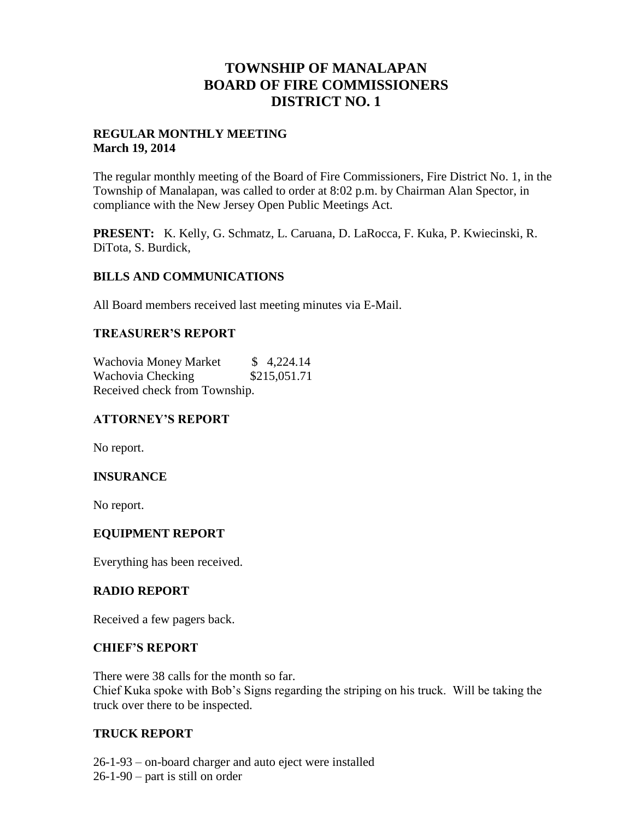# **TOWNSHIP OF MANALAPAN BOARD OF FIRE COMMISSIONERS DISTRICT NO. 1**

## **REGULAR MONTHLY MEETING March 19, 2014**

The regular monthly meeting of the Board of Fire Commissioners, Fire District No. 1, in the Township of Manalapan, was called to order at 8:02 p.m. by Chairman Alan Spector, in compliance with the New Jersey Open Public Meetings Act.

**PRESENT:** K. Kelly, G. Schmatz, L. Caruana, D. LaRocca, F. Kuka, P. Kwiecinski, R. DiTota, S. Burdick,

## **BILLS AND COMMUNICATIONS**

All Board members received last meeting minutes via E-Mail.

## **TREASURER'S REPORT**

Wachovia Money Market  $$ 4,224.14$ Wachovia Checking \$215,051.71 Received check from Township.

# **ATTORNEY'S REPORT**

No report.

# **INSURANCE**

No report.

#### **EQUIPMENT REPORT**

Everything has been received.

#### **RADIO REPORT**

Received a few pagers back.

#### **CHIEF'S REPORT**

There were 38 calls for the month so far. Chief Kuka spoke with Bob's Signs regarding the striping on his truck. Will be taking the truck over there to be inspected.

#### **TRUCK REPORT**

26-1-93 – on-board charger and auto eject were installed 26-1-90 – part is still on order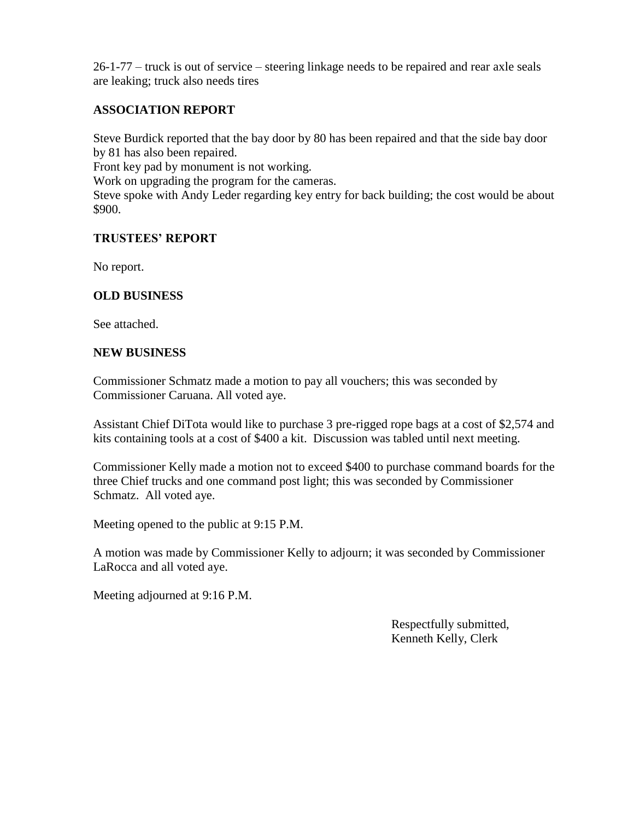26-1-77 – truck is out of service – steering linkage needs to be repaired and rear axle seals are leaking; truck also needs tires

# **ASSOCIATION REPORT**

Steve Burdick reported that the bay door by 80 has been repaired and that the side bay door by 81 has also been repaired.

Front key pad by monument is not working.

Work on upgrading the program for the cameras.

Steve spoke with Andy Leder regarding key entry for back building; the cost would be about \$900.

#### **TRUSTEES' REPORT**

No report.

## **OLD BUSINESS**

See attached.

#### **NEW BUSINESS**

Commissioner Schmatz made a motion to pay all vouchers; this was seconded by Commissioner Caruana. All voted aye.

Assistant Chief DiTota would like to purchase 3 pre-rigged rope bags at a cost of \$2,574 and kits containing tools at a cost of \$400 a kit. Discussion was tabled until next meeting.

Commissioner Kelly made a motion not to exceed \$400 to purchase command boards for the three Chief trucks and one command post light; this was seconded by Commissioner Schmatz. All voted aye.

Meeting opened to the public at 9:15 P.M.

A motion was made by Commissioner Kelly to adjourn; it was seconded by Commissioner LaRocca and all voted aye.

Meeting adjourned at 9:16 P.M.

 Respectfully submitted, Kenneth Kelly, Clerk